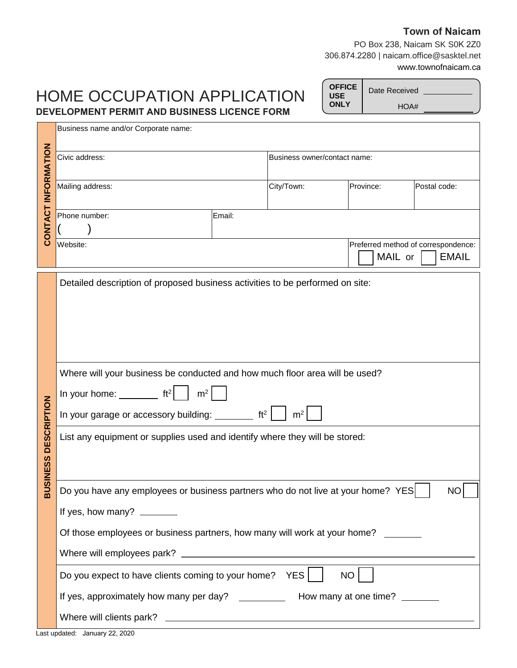#### **Town of Naicam**

PO Box 238, Naicam SK S0K 2Z0 306.874.2280 | naicam.office@sasktel.net www.townofnaicam.ca

# HOME OCCUPATION APPLICATION **DEVELOPMENT PERMIT AND BUSINESS LICENCE FORM**

Date Received HOA# **OFFICE USE ONLY**

|                     | Business name and/or Corporate name:                                                          |        |                              |                                                |              |              |
|---------------------|-----------------------------------------------------------------------------------------------|--------|------------------------------|------------------------------------------------|--------------|--------------|
| CONTACT INFORMATION | Civic address:                                                                                |        | Business owner/contact name: |                                                |              |              |
|                     | Mailing address:                                                                              |        | City/Town:                   | Province:                                      | Postal code: |              |
|                     | Phone number:                                                                                 | Email: |                              |                                                |              |              |
|                     | Website:                                                                                      |        |                              | Preferred method of correspondence:<br>MAIL or |              | <b>EMAIL</b> |
|                     | Detailed description of proposed business activities to be performed on site:                 |        |                              |                                                |              |              |
|                     |                                                                                               |        |                              |                                                |              |              |
|                     |                                                                                               |        |                              |                                                |              |              |
|                     | Where will your business be conducted and how much floor area will be used?                   |        |                              |                                                |              |              |
|                     | m <sup>2</sup><br>In your home: $\rule{1em}{0.15mm}$ ft <sup>2</sup>                          |        |                              |                                                |              |              |
|                     | ft <sup>2</sup><br>m <sup>2</sup><br>In your garage or accessory building: ________           |        |                              |                                                |              |              |
| <b>DESCRIPTION</b>  | List any equipment or supplies used and identify where they will be stored:                   |        |                              |                                                |              |              |
| <b>BUSINESS</b>     |                                                                                               |        |                              |                                                |              |              |
|                     | Do you have any employees or business partners who do not live at your home? YES<br><b>NO</b> |        |                              |                                                |              |              |
|                     | If yes, how many? _______                                                                     |        |                              |                                                |              |              |
|                     | Of those employees or business partners, how many will work at your home?                     |        |                              |                                                |              |              |
|                     |                                                                                               |        |                              |                                                |              |              |
|                     | Do you expect to have clients coming to your home? YES                                        |        |                              | NO                                             |              |              |
|                     | If yes, approximately how many per day? _____________ How many at one time? ______            |        |                              |                                                |              |              |
|                     |                                                                                               |        |                              |                                                |              |              |